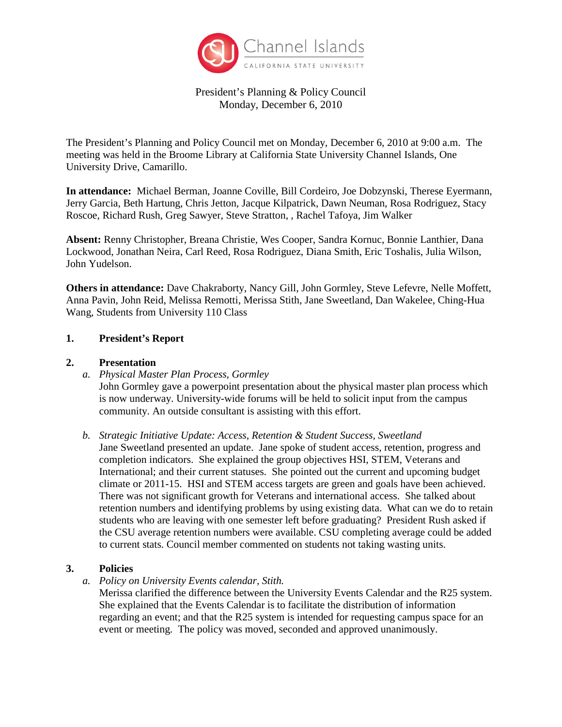

President's Planning & Policy Council Monday, December 6, 2010

The President's Planning and Policy Council met on Monday, December 6, 2010 at 9:00 a.m. The meeting was held in the Broome Library at California State University Channel Islands, One University Drive, Camarillo.

**In attendance:** Michael Berman, Joanne Coville, Bill Cordeiro, Joe Dobzynski, Therese Eyermann, Jerry Garcia, Beth Hartung, Chris Jetton, Jacque Kilpatrick, Dawn Neuman, Rosa Rodriguez, Stacy Roscoe, Richard Rush, Greg Sawyer, Steve Stratton, , Rachel Tafoya, Jim Walker

**Absent:** Renny Christopher, Breana Christie, Wes Cooper, Sandra Kornuc, Bonnie Lanthier, Dana Lockwood, Jonathan Neira, Carl Reed, Rosa Rodriguez, Diana Smith, Eric Toshalis, Julia Wilson, John Yudelson.

**Others in attendance:** Dave Chakraborty, Nancy Gill, John Gormley, Steve Lefevre, Nelle Moffett, Anna Pavin, John Reid, Melissa Remotti, Merissa Stith, Jane Sweetland, Dan Wakelee, Ching-Hua Wang, Students from University 110 Class

## **1. President's Report**

## **2. Presentation**

*a. Physical Master Plan Process, Gormley*

John Gormley gave a powerpoint presentation about the physical master plan process which is now underway. University-wide forums will be held to solicit input from the campus community. An outside consultant is assisting with this effort.

*b. Strategic Initiative Update: Access, Retention & Student Success, Sweetland*

Jane Sweetland presented an update. Jane spoke of student access, retention, progress and completion indicators. She explained the group objectives HSI, STEM, Veterans and International; and their current statuses. She pointed out the current and upcoming budget climate or 2011-15. HSI and STEM access targets are green and goals have been achieved. There was not significant growth for Veterans and international access. She talked about retention numbers and identifying problems by using existing data. What can we do to retain students who are leaving with one semester left before graduating? President Rush asked if the CSU average retention numbers were available. CSU completing average could be added to current stats. Council member commented on students not taking wasting units.

# **3. Policies**

*a. Policy on University Events calendar, Stith.*

Merissa clarified the difference between the University Events Calendar and the R25 system. She explained that the Events Calendar is to facilitate the distribution of information regarding an event; and that the R25 system is intended for requesting campus space for an event or meeting. The policy was moved, seconded and approved unanimously.